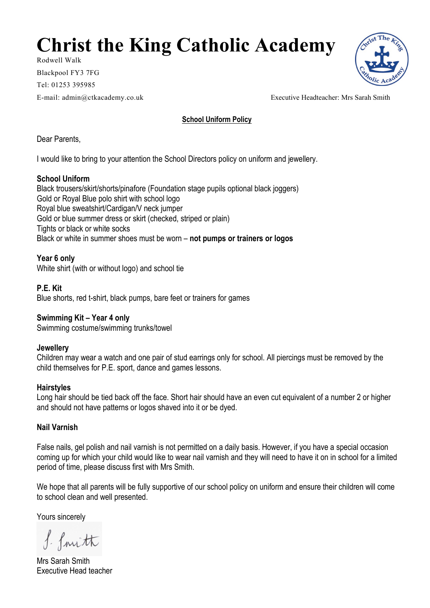# **Christ the King Catholic Academy**

Rodwell Walk Blackpool FY3 7FG Tel: 01253 395985 E-mail: admin@ctkacademy.co.uk Executive Headteacher: Mrs Sarah Smith

**School Uniform Policy**

Dear Parents,

I would like to bring to your attention the School Directors policy on uniform and jewellery.

## **School Uniform**

Black trousers/skirt/shorts/pinafore (Foundation stage pupils optional black joggers) Gold or Royal Blue polo shirt with school logo Royal blue sweatshirt/Cardigan/V neck jumper Gold or blue summer dress or skirt (checked, striped or plain) Tights or black or white socks Black or white in summer shoes must be worn – **not pumps or trainers or logos**

**Year 6 only** White shirt (with or without logo) and school tie

**P.E. Kit** Blue shorts, red t-shirt, black pumps, bare feet or trainers for games

**Swimming Kit – Year 4 only** Swimming costume/swimming trunks/towel

## **Jewellery**

Children may wear a watch and one pair of stud earrings only for school. All piercings must be removed by the child themselves for P.E. sport, dance and games lessons.

#### **Hairstyles**

Long hair should be tied back off the face. Short hair should have an even cut equivalent of a number 2 or higher and should not have patterns or logos shaved into it or be dyed.

## **Nail Varnish**

False nails, gel polish and nail varnish is not permitted on a daily basis. However, if you have a special occasion coming up for which your child would like to wear nail varnish and they will need to have it on in school for a limited period of time, please discuss first with Mrs Smith.

We hope that all parents will be fully supportive of our school policy on uniform and ensure their children will come to school clean and well presented.

Yours sincerely

f. fruith

Mrs Sarah Smith Executive Head teacher